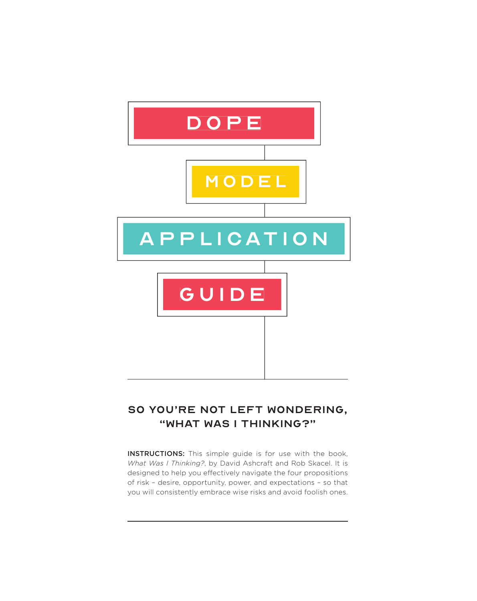

## SO YOU'RE NOT LEFT WONDERING, "WHAT WAS I THINKING?"

INSTRUCTIONS: This simple guide is for use with the book, *What Was I Thinking?*, by David Ashcraft and Rob Skacel. It is designed to help you effectively navigate the four propositions of risk – desire, opportunity, power, and expectations – so that you will consistently embrace wise risks and avoid foolish ones.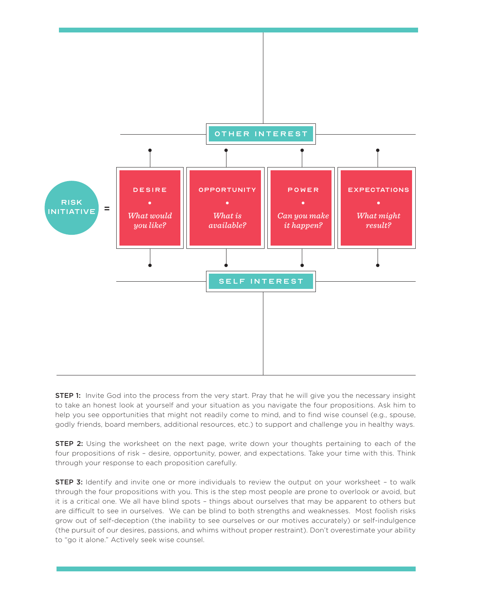

**STEP 1:** Invite God into the process from the very start. Pray that he will give you the necessary insight to take an honest look at yourself and your situation as you navigate the four propositions. Ask him to help you see opportunities that might not readily come to mind, and to find wise counsel (e.g., spouse, godly friends, board members, additional resources, etc.) to support and challenge you in healthy ways.

**STEP 2:** Using the worksheet on the next page, write down your thoughts pertaining to each of the four propositions of risk – desire, opportunity, power, and expectations. Take your time with this. Think through your response to each proposition carefully.

**STEP 3:** Identify and invite one or more individuals to review the output on your worksheet - to walk through the four propositions with you. This is the step most people are prone to overlook or avoid, but it is a critical one. We all have blind spots – things about ourselves that may be apparent to others but are difficult to see in ourselves. We can be blind to both strengths and weaknesses. Most foolish risks grow out of self-deception (the inability to see ourselves or our motives accurately) or self-indulgence (the pursuit of our desires, passions, and whims without proper restraint). Don't overestimate your ability to "go it alone." Actively seek wise counsel.